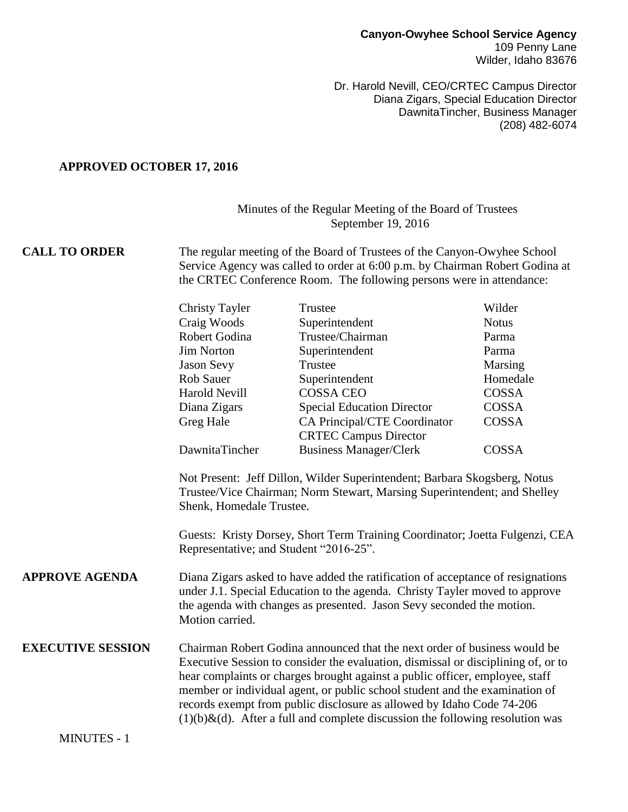Dr. Harold Nevill, CEO/CRTEC Campus Director Diana Zigars, Special Education Director DawnitaTincher, Business Manager (208) 482-6074

## **APPROVED OCTOBER 17, 2016**

## Minutes of the Regular Meeting of the Board of Trustees September 19, 2016

## **CALL TO ORDER** The regular meeting of the Board of Trustees of the Canyon-Owyhee School Service Agency was called to order at 6:00 p.m. by Chairman Robert Godina at the CRTEC Conference Room. The following persons were in attendance:

|                          | <b>Christy Tayler</b>                                                                                                                                                                                                                                                                                                                                                                                                                                                                       | Trustee                                                      | Wilder       |  |  |
|--------------------------|---------------------------------------------------------------------------------------------------------------------------------------------------------------------------------------------------------------------------------------------------------------------------------------------------------------------------------------------------------------------------------------------------------------------------------------------------------------------------------------------|--------------------------------------------------------------|--------------|--|--|
|                          | Craig Woods                                                                                                                                                                                                                                                                                                                                                                                                                                                                                 | Superintendent                                               | <b>Notus</b> |  |  |
|                          | Robert Godina                                                                                                                                                                                                                                                                                                                                                                                                                                                                               | Trustee/Chairman                                             | Parma        |  |  |
|                          | <b>Jim Norton</b>                                                                                                                                                                                                                                                                                                                                                                                                                                                                           | Superintendent                                               | Parma        |  |  |
|                          | <b>Jason Sevy</b>                                                                                                                                                                                                                                                                                                                                                                                                                                                                           | Trustee                                                      | Marsing      |  |  |
|                          | <b>Rob Sauer</b>                                                                                                                                                                                                                                                                                                                                                                                                                                                                            | Superintendent                                               | Homedale     |  |  |
|                          | <b>Harold Nevill</b>                                                                                                                                                                                                                                                                                                                                                                                                                                                                        | <b>COSSA CEO</b>                                             | <b>COSSA</b> |  |  |
|                          | Diana Zigars                                                                                                                                                                                                                                                                                                                                                                                                                                                                                | <b>Special Education Director</b>                            | <b>COSSA</b> |  |  |
|                          | Greg Hale                                                                                                                                                                                                                                                                                                                                                                                                                                                                                   | CA Principal/CTE Coordinator<br><b>CRTEC Campus Director</b> | COSSA        |  |  |
|                          | DawnitaTincher                                                                                                                                                                                                                                                                                                                                                                                                                                                                              | <b>Business Manager/Clerk</b>                                | COSSA        |  |  |
|                          | Guests: Kristy Dorsey, Short Term Training Coordinator; Joetta Fulgenzi, CEA<br>Representative; and Student "2016-25".                                                                                                                                                                                                                                                                                                                                                                      |                                                              |              |  |  |
| <b>APPROVE AGENDA</b>    | Diana Zigars asked to have added the ratification of acceptance of resignations<br>under J.1. Special Education to the agenda. Christy Tayler moved to approve<br>the agenda with changes as presented. Jason Sevy seconded the motion.<br>Motion carried.                                                                                                                                                                                                                                  |                                                              |              |  |  |
| <b>EXECUTIVE SESSION</b> | Chairman Robert Godina announced that the next order of business would be<br>Executive Session to consider the evaluation, dismissal or disciplining of, or to<br>hear complaints or charges brought against a public officer, employee, staff<br>member or individual agent, or public school student and the examination of<br>records exempt from public disclosure as allowed by Idaho Code 74-206<br>$(1)(b)\&(d)$ . After a full and complete discussion the following resolution was |                                                              |              |  |  |

MINUTES - 1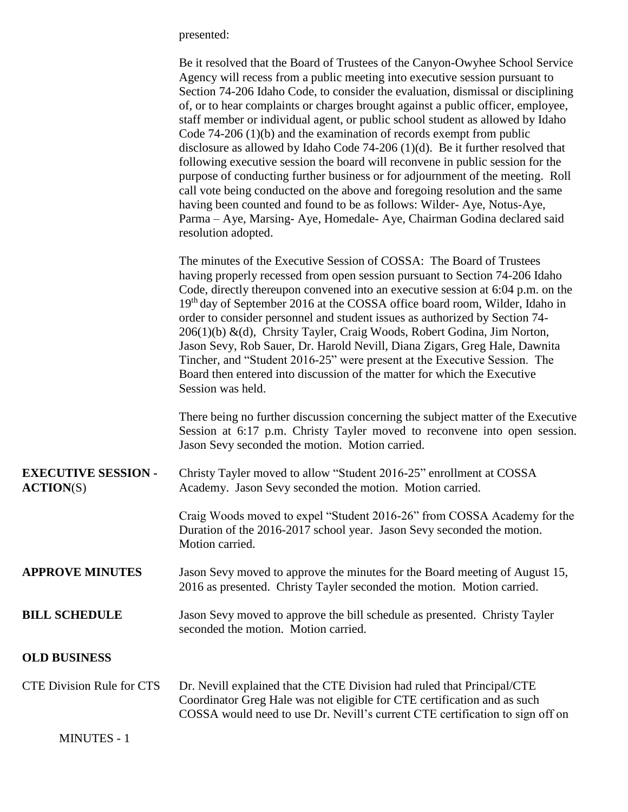presented:

|                                                | Be it resolved that the Board of Trustees of the Canyon-Owyhee School Service<br>Agency will recess from a public meeting into executive session pursuant to<br>Section 74-206 Idaho Code, to consider the evaluation, dismissal or disciplining<br>of, or to hear complaints or charges brought against a public officer, employee,<br>staff member or individual agent, or public school student as allowed by Idaho<br>Code $74-206(1)(b)$ and the examination of records exempt from public<br>disclosure as allowed by Idaho Code $74-206$ (1)(d). Be it further resolved that<br>following executive session the board will reconvene in public session for the<br>purpose of conducting further business or for adjournment of the meeting. Roll<br>call vote being conducted on the above and foregoing resolution and the same<br>having been counted and found to be as follows: Wilder-Aye, Notus-Aye,<br>Parma - Aye, Marsing- Aye, Homedale- Aye, Chairman Godina declared said<br>resolution adopted. |  |
|------------------------------------------------|---------------------------------------------------------------------------------------------------------------------------------------------------------------------------------------------------------------------------------------------------------------------------------------------------------------------------------------------------------------------------------------------------------------------------------------------------------------------------------------------------------------------------------------------------------------------------------------------------------------------------------------------------------------------------------------------------------------------------------------------------------------------------------------------------------------------------------------------------------------------------------------------------------------------------------------------------------------------------------------------------------------------|--|
|                                                | The minutes of the Executive Session of COSSA: The Board of Trustees<br>having properly recessed from open session pursuant to Section 74-206 Idaho<br>Code, directly thereupon convened into an executive session at 6:04 p.m. on the<br>19 <sup>th</sup> day of September 2016 at the COSSA office board room, Wilder, Idaho in<br>order to consider personnel and student issues as authorized by Section 74-<br>206(1)(b) &(d), Chrsity Tayler, Craig Woods, Robert Godina, Jim Norton,<br>Jason Sevy, Rob Sauer, Dr. Harold Nevill, Diana Zigars, Greg Hale, Dawnita<br>Tincher, and "Student 2016-25" were present at the Executive Session. The<br>Board then entered into discussion of the matter for which the Executive<br>Session was held.                                                                                                                                                                                                                                                             |  |
|                                                | There being no further discussion concerning the subject matter of the Executive<br>Session at 6:17 p.m. Christy Tayler moved to reconvene into open session.<br>Jason Sevy seconded the motion. Motion carried.                                                                                                                                                                                                                                                                                                                                                                                                                                                                                                                                                                                                                                                                                                                                                                                                    |  |
| <b>EXECUTIVE SESSION -</b><br><b>ACTION(S)</b> | Christy Tayler moved to allow "Student 2016-25" enrollment at COSSA<br>Academy. Jason Sevy seconded the motion. Motion carried.                                                                                                                                                                                                                                                                                                                                                                                                                                                                                                                                                                                                                                                                                                                                                                                                                                                                                     |  |
|                                                | Craig Woods moved to expel "Student 2016-26" from COSSA Academy for the<br>Duration of the 2016-2017 school year. Jason Sevy seconded the motion.<br>Motion carried.                                                                                                                                                                                                                                                                                                                                                                                                                                                                                                                                                                                                                                                                                                                                                                                                                                                |  |
| <b>APPROVE MINUTES</b>                         | Jason Sevy moved to approve the minutes for the Board meeting of August 15,<br>2016 as presented. Christy Tayler seconded the motion. Motion carried.                                                                                                                                                                                                                                                                                                                                                                                                                                                                                                                                                                                                                                                                                                                                                                                                                                                               |  |
| <b>BILL SCHEDULE</b>                           | Jason Sevy moved to approve the bill schedule as presented. Christy Tayler<br>seconded the motion. Motion carried.                                                                                                                                                                                                                                                                                                                                                                                                                                                                                                                                                                                                                                                                                                                                                                                                                                                                                                  |  |
| <b>OLD BUSINESS</b>                            |                                                                                                                                                                                                                                                                                                                                                                                                                                                                                                                                                                                                                                                                                                                                                                                                                                                                                                                                                                                                                     |  |
| <b>CTE Division Rule for CTS</b>               | Dr. Nevill explained that the CTE Division had ruled that Principal/CTE<br>Coordinator Greg Hale was not eligible for CTE certification and as such                                                                                                                                                                                                                                                                                                                                                                                                                                                                                                                                                                                                                                                                                                                                                                                                                                                                 |  |

COSSA would need to use Dr. Nevill's current CTE certification to sign off on

MINUTES - 1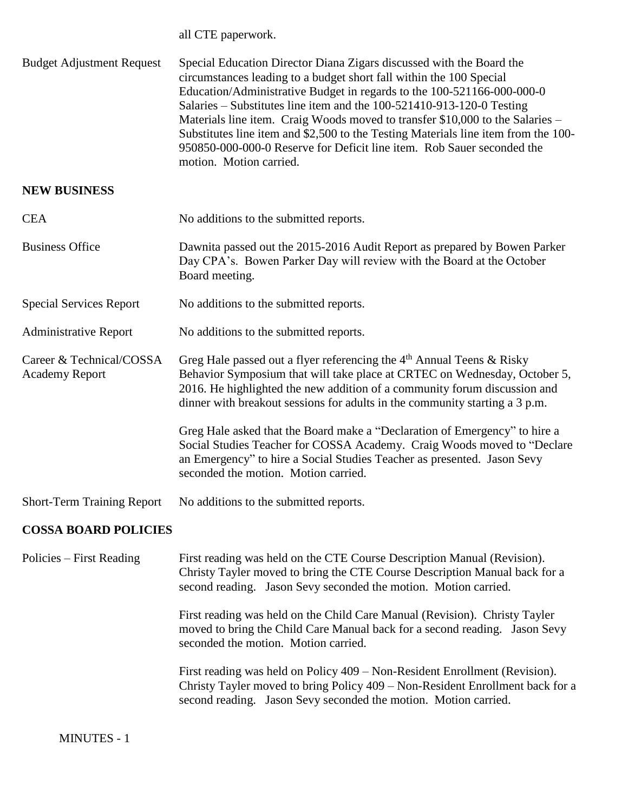all CTE paperwork.

| <b>Budget Adjustment Request</b>                  | Special Education Director Diana Zigars discussed with the Board the<br>circumstances leading to a budget short fall within the 100 Special<br>Education/Administrative Budget in regards to the 100-521166-000-000-0<br>Salaries – Substitutes line item and the 100-521410-913-120-0 Testing<br>Materials line item. Craig Woods moved to transfer \$10,000 to the Salaries -<br>Substitutes line item and \$2,500 to the Testing Materials line item from the 100-<br>950850-000-000-0 Reserve for Deficit line item. Rob Sauer seconded the<br>motion. Motion carried. |
|---------------------------------------------------|----------------------------------------------------------------------------------------------------------------------------------------------------------------------------------------------------------------------------------------------------------------------------------------------------------------------------------------------------------------------------------------------------------------------------------------------------------------------------------------------------------------------------------------------------------------------------|
| <b>NEW BUSINESS</b>                               |                                                                                                                                                                                                                                                                                                                                                                                                                                                                                                                                                                            |
| <b>CEA</b>                                        | No additions to the submitted reports.                                                                                                                                                                                                                                                                                                                                                                                                                                                                                                                                     |
| <b>Business Office</b>                            | Dawnita passed out the 2015-2016 Audit Report as prepared by Bowen Parker<br>Day CPA's. Bowen Parker Day will review with the Board at the October<br>Board meeting.                                                                                                                                                                                                                                                                                                                                                                                                       |
| <b>Special Services Report</b>                    | No additions to the submitted reports.                                                                                                                                                                                                                                                                                                                                                                                                                                                                                                                                     |
| <b>Administrative Report</b>                      | No additions to the submitted reports.                                                                                                                                                                                                                                                                                                                                                                                                                                                                                                                                     |
| Career & Technical/COSSA<br><b>Academy Report</b> | Greg Hale passed out a flyer referencing the $4th$ Annual Teens & Risky<br>Behavior Symposium that will take place at CRTEC on Wednesday, October 5,<br>2016. He highlighted the new addition of a community forum discussion and<br>dinner with breakout sessions for adults in the community starting a 3 p.m.                                                                                                                                                                                                                                                           |
|                                                   | Greg Hale asked that the Board make a "Declaration of Emergency" to hire a<br>Social Studies Teacher for COSSA Academy. Craig Woods moved to "Declare<br>an Emergency" to hire a Social Studies Teacher as presented. Jason Sevy<br>seconded the motion. Motion carried.                                                                                                                                                                                                                                                                                                   |
| <b>Short-Term Training Report</b>                 | No additions to the submitted reports.                                                                                                                                                                                                                                                                                                                                                                                                                                                                                                                                     |
| <b>COSSA BOARD POLICIES</b>                       |                                                                                                                                                                                                                                                                                                                                                                                                                                                                                                                                                                            |
| Policies – First Reading                          | First reading was held on the CTE Course Description Manual (Revision).<br>Christy Tayler moved to bring the CTE Course Description Manual back for a<br>second reading. Jason Sevy seconded the motion. Motion carried.                                                                                                                                                                                                                                                                                                                                                   |

First reading was held on the Child Care Manual (Revision). Christy Tayler moved to bring the Child Care Manual back for a second reading. Jason Sevy seconded the motion. Motion carried.

First reading was held on Policy 409 – Non-Resident Enrollment (Revision). Christy Tayler moved to bring Policy 409 – Non-Resident Enrollment back for a second reading. Jason Sevy seconded the motion. Motion carried.